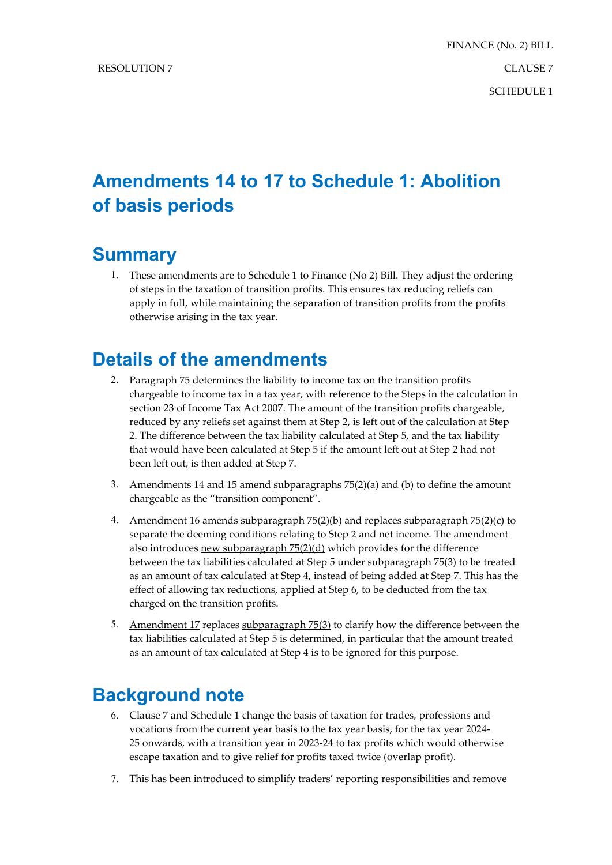## **Amendments 14 to 17 to Schedule 1: Abolition of basis periods**

## **Summary**

1. These amendments are to Schedule 1 to Finance (No 2) Bill. They adjust the ordering of steps in the taxation of transition profits. This ensures tax reducing reliefs can apply in full, while maintaining the separation of transition profits from the profits otherwise arising in the tax year.

## **Details of the amendments**

- 2. Paragraph 75 determines the liability to income tax on the transition profits chargeable to income tax in a tax year, with reference to the Steps in the calculation in section 23 of Income Tax Act 2007. The amount of the transition profits chargeable, reduced by any reliefs set against them at Step 2, is left out of the calculation at Step 2. The difference between the tax liability calculated at Step 5, and the tax liability that would have been calculated at Step 5 if the amount left out at Step 2 had not been left out, is then added at Step 7.
- 3. Amendments 14 and 15 amend subparagraphs  $75(2)(a)$  and (b) to define the amount chargeable as the "transition component".
- 4. Amendment 16 amends subparagraph 75(2)(b) and replaces subparagraph 75(2)(c) to separate the deeming conditions relating to Step 2 and net income. The amendment also introduces new subparagraph 75(2)(d) which provides for the difference between the tax liabilities calculated at Step 5 under subparagraph 75(3) to be treated as an amount of tax calculated at Step 4, instead of being added at Step 7. This has the effect of allowing tax reductions, applied at Step 6, to be deducted from the tax charged on the transition profits.
- 5. Amendment 17 replaces subparagraph 75(3) to clarify how the difference between the tax liabilities calculated at Step 5 is determined, in particular that the amount treated as an amount of tax calculated at Step 4 is to be ignored for this purpose.

## **Background note**

- 6. Clause 7 and Schedule 1 change the basis of taxation for trades, professions and vocations from the current year basis to the tax year basis, for the tax year 2024- 25 onwards, with a transition year in 2023-24 to tax profits which would otherwise escape taxation and to give relief for profits taxed twice (overlap profit).
- 7. This has been introduced to simplify traders' reporting responsibilities and remove